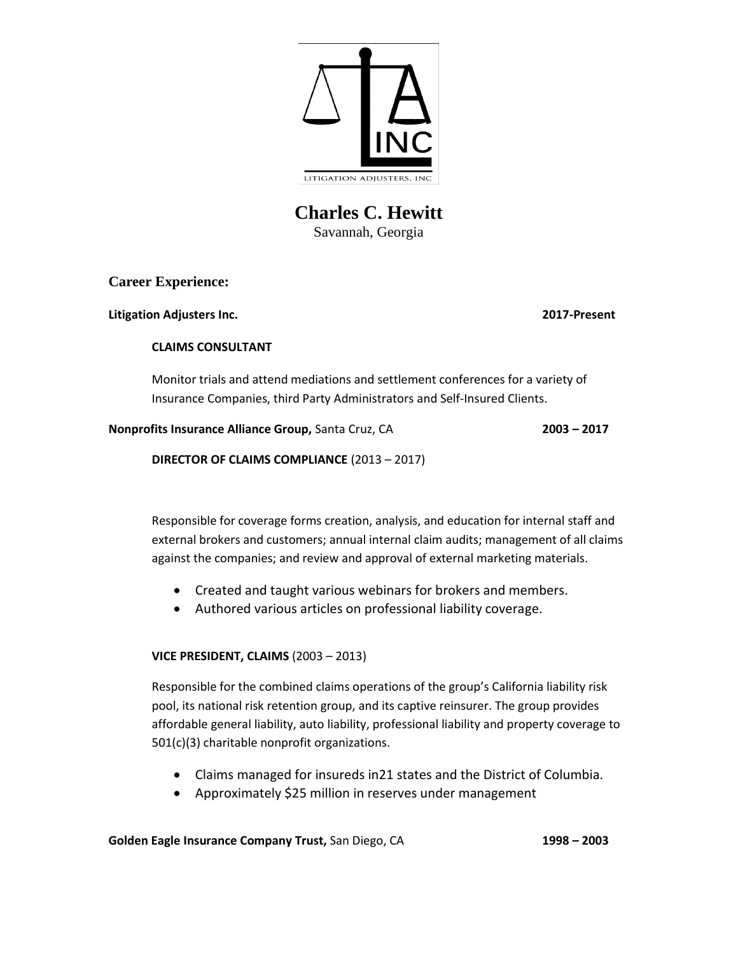

# **Charles C. Hewitt** Savannah, Georgia

**Career Experience:**

**Litigation Adjusters Inc. 2017-Present**

## **CLAIMS CONSULTANT**

Monitor trials and attend mediations and settlement conferences for a variety of Insurance Companies, third Party Administrators and Self-Insured Clients.

**Nonprofits Insurance Alliance Group,** Santa Cruz, CA **2003 – 2017**

**DIRECTOR OF CLAIMS COMPLIANCE** (2013 – 2017)

Responsible for coverage forms creation, analysis, and education for internal staff and external brokers and customers; annual internal claim audits; management of all claims against the companies; and review and approval of external marketing materials.

- Created and taught various webinars for brokers and members.
- Authored various articles on professional liability coverage.

# **VICE PRESIDENT, CLAIMS** (2003 – 2013)

Responsible for the combined claims operations of the group's California liability risk pool, its national risk retention group, and its captive reinsurer. The group provides affordable general liability, auto liability, professional liability and property coverage to 501(c)(3) charitable nonprofit organizations.

- Claims managed for insureds in21 states and the District of Columbia.
- Approximately \$25 million in reserves under management

**Golden Eagle Insurance Company Trust,** San Diego, CA **1998 – 2003**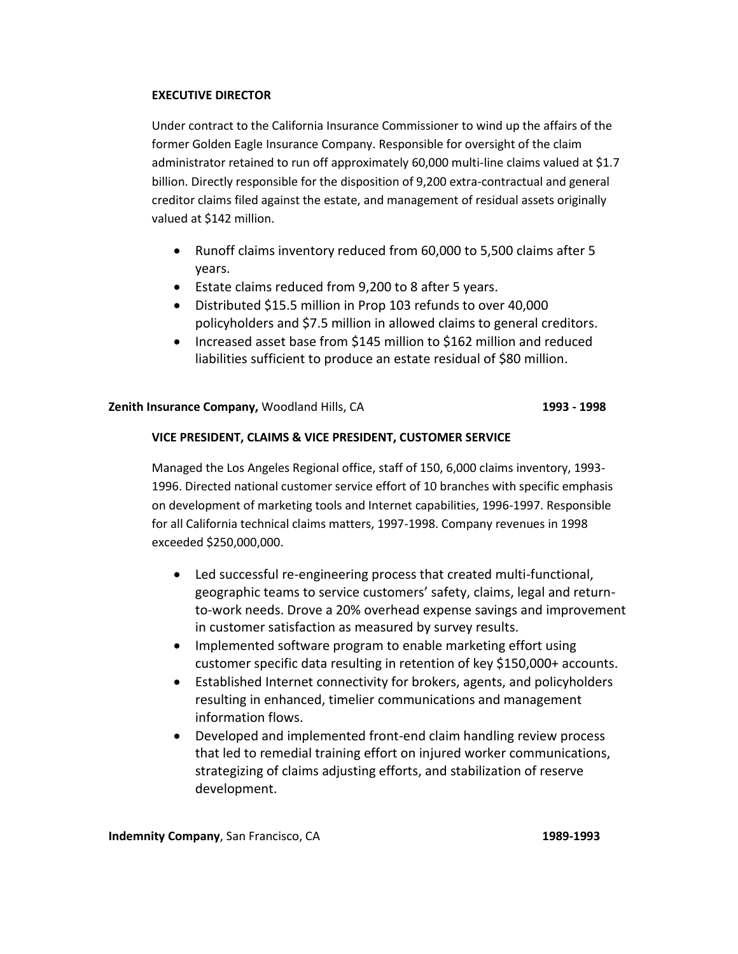### **EXECUTIVE DIRECTOR**

Under contract to the California Insurance Commissioner to wind up the affairs of the former Golden Eagle Insurance Company. Responsible for oversight of the claim administrator retained to run off approximately 60,000 multi-line claims valued at \$1.7 billion. Directly responsible for the disposition of 9,200 extra-contractual and general creditor claims filed against the estate, and management of residual assets originally valued at \$142 million.

- Runoff claims inventory reduced from 60,000 to 5,500 claims after 5 years.
- Estate claims reduced from 9,200 to 8 after 5 years.
- Distributed \$15.5 million in Prop 103 refunds to over 40,000 policyholders and \$7.5 million in allowed claims to general creditors.
- Increased asset base from \$145 million to \$162 million and reduced liabilities sufficient to produce an estate residual of \$80 million.

### **Zenith Insurance Company,** Woodland Hills, CA **1993 - 1998**

### **VICE PRESIDENT, CLAIMS & VICE PRESIDENT, CUSTOMER SERVICE**

Managed the Los Angeles Regional office, staff of 150, 6,000 claims inventory, 1993- 1996. Directed national customer service effort of 10 branches with specific emphasis on development of marketing tools and Internet capabilities, 1996-1997. Responsible for all California technical claims matters, 1997-1998. Company revenues in 1998 exceeded \$250,000,000.

- Led successful re-engineering process that created multi-functional, geographic teams to service customers' safety, claims, legal and returnto-work needs. Drove a 20% overhead expense savings and improvement in customer satisfaction as measured by survey results.
- Implemented software program to enable marketing effort using customer specific data resulting in retention of key \$150,000+ accounts.
- Established Internet connectivity for brokers, agents, and policyholders resulting in enhanced, timelier communications and management information flows.
- Developed and implemented front-end claim handling review process that led to remedial training effort on injured worker communications, strategizing of claims adjusting efforts, and stabilization of reserve development.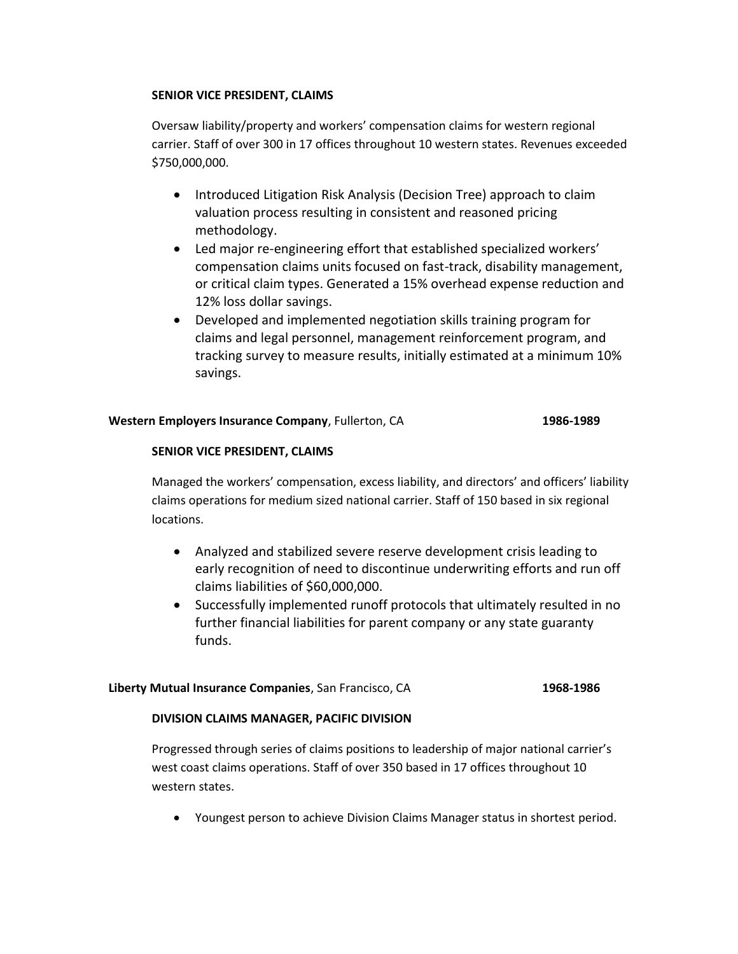### **SENIOR VICE PRESIDENT, CLAIMS**

Oversaw liability/property and workers' compensation claims for western regional carrier. Staff of over 300 in 17 offices throughout 10 western states. Revenues exceeded \$750,000,000.

- Introduced Litigation Risk Analysis (Decision Tree) approach to claim valuation process resulting in consistent and reasoned pricing methodology.
- Led major re-engineering effort that established specialized workers' compensation claims units focused on fast-track, disability management, or critical claim types. Generated a 15% overhead expense reduction and 12% loss dollar savings.
- Developed and implemented negotiation skills training program for claims and legal personnel, management reinforcement program, and tracking survey to measure results, initially estimated at a minimum 10% savings.

### **Western Employers Insurance Company**, Fullerton, CA **1986-1989**

### **SENIOR VICE PRESIDENT, CLAIMS**

Managed the workers' compensation, excess liability, and directors' and officers' liability claims operations for medium sized national carrier. Staff of 150 based in six regional locations.

- Analyzed and stabilized severe reserve development crisis leading to early recognition of need to discontinue underwriting efforts and run off claims liabilities of \$60,000,000.
- Successfully implemented runoff protocols that ultimately resulted in no further financial liabilities for parent company or any state guaranty funds.

### **Liberty Mutual Insurance Companies**, San Francisco, CA **1968-1986**

### **DIVISION CLAIMS MANAGER, PACIFIC DIVISION**

Progressed through series of claims positions to leadership of major national carrier's west coast claims operations. Staff of over 350 based in 17 offices throughout 10 western states.

• Youngest person to achieve Division Claims Manager status in shortest period.